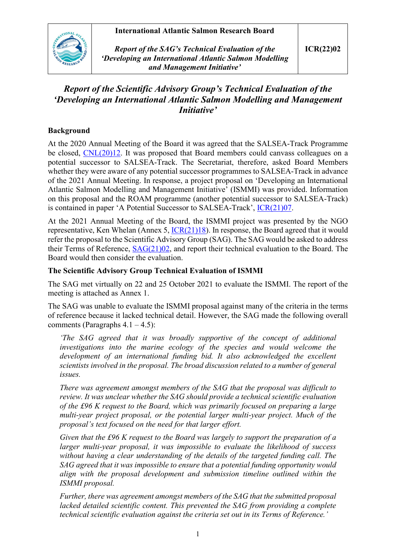### **International Atlantic Salmon Research Board**



*Report of the SAG's Technical Evaluation of the 'Developing an International Atlantic Salmon Modelling and Management Initiative'*

# *Report of the Scientific Advisory Group's Technical Evaluation of the 'Developing an International Atlantic Salmon Modelling and Management Initiative'*

### **Background**

At the 2020 Annual Meeting of the Board it was agreed that the SALSEA-Track Programme be closed, [CNL\(20\)12.](https://nasco.int/wp-content/uploads/2020/08/CNL2012_Report-of-the-Nineteenth-Meeting-of-the-International-Atlantic-Salmon-Research-Board_FINAL.pdf) It was proposed that Board members could canvass colleagues on a potential successor to SALSEA-Track. The Secretariat, therefore, asked Board Members whether they were aware of any potential successor programmes to SALSEA-Track in advance of the 2021 Annual Meeting. In response, a project proposal on 'Developing an International Atlantic Salmon Modelling and Management Initiative' (ISMMI) was provided. Information on this proposal and the ROAM programme (another potential successor to SALSEA-Track) is contained in paper 'A Potential Successor to SALSEA-Track', [ICR\(21\)07.](https://salmonatsea.com/wp-content/uploads/2021/04/ICR2107_Potential-Successor-to-SALSEA-Track.pdf)

At the 2021 Annual Meeting of the Board, the ISMMI project was presented by the NGO representative, Ken Whelan (Annex 5,  $ICR(21)18$ ). In response, the Board agreed that it would refer the proposal to the Scientific Advisory Group (SAG). The SAG would be asked to address their Terms of Reference, [SAG\(21\)02,](https://salmonatsea.com/wp-content/uploads/2021/10/SAG2102_Terms-of-Reference-for-the-SAGs-Technical-Evaluation-of-the-ISMMI.pdf) and report their technical evaluation to the Board. The Board would then consider the evaluation.

### **The Scientific Advisory Group Technical Evaluation of ISMMI**

The SAG met virtually on 22 and 25 October 2021 to evaluate the ISMMI. The report of the meeting is attached as Annex 1.

The SAG was unable to evaluate the ISMMI proposal against many of the criteria in the terms of reference because it lacked technical detail. However, the SAG made the following overall comments (Paragraphs  $4.1 - 4.5$ ):

*'The SAG agreed that it was broadly supportive of the concept of additional investigations into the marine ecology of the species and would welcome the development of an international funding bid. It also acknowledged the excellent scientists involved in the proposal. The broad discussion related to a number of general issues.* 

*There was agreement amongst members of the SAG that the proposal was difficult to review. It was unclear whether the SAG should provide a technical scientific evaluation of the £96 K request to the Board, which was primarily focused on preparing a large multi-year project proposal, or the potential larger multi-year project. Much of the proposal's text focused on the need for that larger effort.* 

*Given that the £96 K request to the Board was largely to support the preparation of a larger multi-year proposal, it was impossible to evaluate the likelihood of success without having a clear understanding of the details of the targeted funding call. The SAG agreed that it was impossible to ensure that a potential funding opportunity would align with the proposal development and submission timeline outlined within the ISMMI proposal.* 

*Further, there was agreement amongst members of the SAG that the submitted proposal lacked detailed scientific content. This prevented the SAG from providing a complete technical scientific evaluation against the criteria set out in its Terms of Reference.'*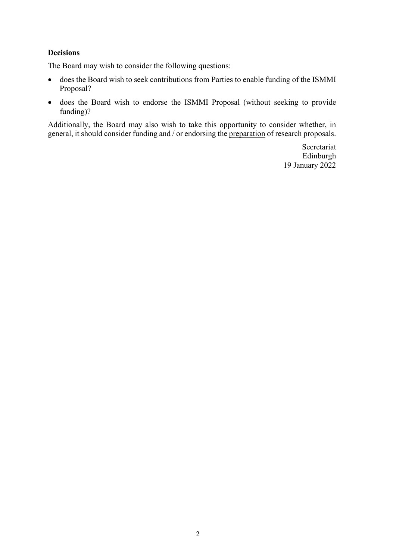#### **Decisions**

The Board may wish to consider the following questions:

- does the Board wish to seek contributions from Parties to enable funding of the ISMMI Proposal?
- does the Board wish to endorse the ISMMI Proposal (without seeking to provide funding)?

Additionally, the Board may also wish to take this opportunity to consider whether, in general, it should consider funding and / or endorsing the preparation of research proposals.

> Secretariat Edinburgh 19 January 2022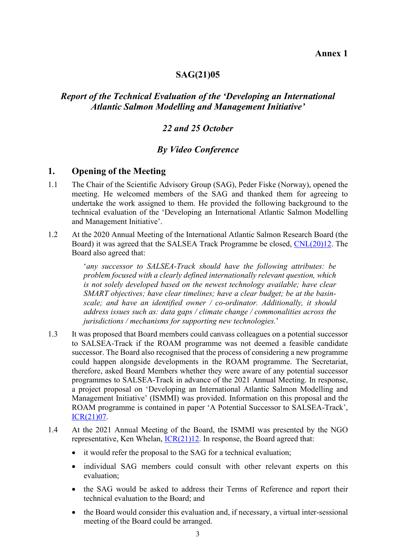### **SAG(21)05**

# *Report of the Technical Evaluation of the 'Developing an International Atlantic Salmon Modelling and Management Initiative'*

### *22 and 25 October*

# *By Video Conference*

### **1. Opening of the Meeting**

- 1.1 The Chair of the Scientific Advisory Group (SAG), Peder Fiske (Norway), opened the meeting. He welcomed members of the SAG and thanked them for agreeing to undertake the work assigned to them. He provided the following background to the technical evaluation of the 'Developing an International Atlantic Salmon Modelling and Management Initiative'.
- 1.2 At the 2020 Annual Meeting of the International Atlantic Salmon Research Board (the Board) it was agreed that the SALSEA Track Programme be closed, [CNL\(20\)12.](https://nasco.int/wp-content/uploads/2020/08/CNL2012_Report-of-the-Nineteenth-Meeting-of-the-International-Atlantic-Salmon-Research-Board_FINAL.pdf) The Board also agreed that:

'*any successor to SALSEA-Track should have the following attributes: be problem focused with a clearly defined internationally relevant question, which is not solely developed based on the newest technology available; have clear SMART objectives; have clear timelines; have a clear budget; be at the basinscale; and have an identified owner / co-ordinator. Additionally, it should address issues such as: data gaps / climate change / commonalities across the jurisdictions / mechanisms for supporting new technologies.*'

- 1.3 It was proposed that Board members could canvass colleagues on a potential successor to SALSEA-Track if the ROAM programme was not deemed a feasible candidate successor. The Board also recognised that the process of considering a new programme could happen alongside developments in the ROAM programme. The Secretariat, therefore, asked Board Members whether they were aware of any potential successor programmes to SALSEA-Track in advance of the 2021 Annual Meeting. In response, a project proposal on 'Developing an International Atlantic Salmon Modelling and Management Initiative' (ISMMI) was provided. Information on this proposal and the ROAM programme is contained in paper 'A Potential Successor to SALSEA-Track', [ICR\(21\)07.](https://salmonatsea.com/wp-content/uploads/2021/04/ICR2107_Potential-Successor-to-SALSEA-Track.pdf)
- 1.4 At the 2021 Annual Meeting of the Board, the ISMMI was presented by the NGO representative, Ken Whelan,  $ICR(21)12$ . In response, the Board agreed that:
	- it would refer the proposal to the SAG for a technical evaluation;
	- individual SAG members could consult with other relevant experts on this evaluation;
	- the SAG would be asked to address their Terms of Reference and report their technical evaluation to the Board; and
	- the Board would consider this evaluation and, if necessary, a virtual inter-sessional meeting of the Board could be arranged.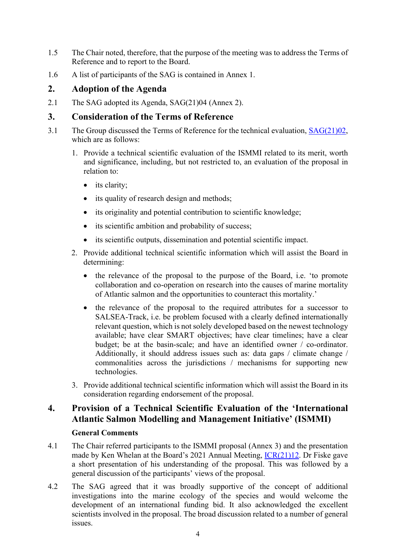- 1.5 The Chair noted, therefore, that the purpose of the meeting was to address the Terms of Reference and to report to the Board.
- 1.6 A list of participants of the SAG is contained in Annex 1.

# **2. Adoption of the Agenda**

2.1 The SAG adopted its Agenda, SAG(21)04 (Annex 2).

### **3. Consideration of the Terms of Reference**

- 3.1 The Group discussed the Terms of Reference for the technical evaluation, [SAG\(21\)02,](https://salmonatsea.com/wp-content/uploads/2021/10/SAG2102_Terms-of-Reference-for-the-SAGs-Technical-Evaluation-of-the-ISMMI.pdf) which are as follows:
	- 1. Provide a technical scientific evaluation of the ISMMI related to its merit, worth and significance, including, but not restricted to, an evaluation of the proposal in relation to:
		- its clarity;
		- its quality of research design and methods;
		- its originality and potential contribution to scientific knowledge;
		- its scientific ambition and probability of success;
		- its scientific outputs, dissemination and potential scientific impact.
	- 2. Provide additional technical scientific information which will assist the Board in determining:
		- the relevance of the proposal to the purpose of the Board, i.e. 'to promote collaboration and co-operation on research into the causes of marine mortality of Atlantic salmon and the opportunities to counteract this mortality.'
		- the relevance of the proposal to the required attributes for a successor to SALSEA-Track, i.e. be problem focused with a clearly defined internationally relevant question, which is not solely developed based on the newest technology available; have clear SMART objectives; have clear timelines; have a clear budget; be at the basin-scale; and have an identified owner / co-ordinator. Additionally, it should address issues such as: data gaps / climate change / commonalities across the jurisdictions / mechanisms for supporting new technologies.
	- 3. Provide additional technical scientific information which will assist the Board in its consideration regarding endorsement of the proposal.

# **4. Provision of a Technical Scientific Evaluation of the 'International Atlantic Salmon Modelling and Management Initiative' (ISMMI)**

### **General Comments**

- 4.1 The Chair referred participants to the ISMMI proposal (Annex 3) and the presentation made by Ken Whelan at the Board's 2021 Annual Meeting, [ICR\(21\)12.](https://salmonatsea.com/wp-content/uploads/2021/06/ICR2112_Presentation-on-the-ISMMI-Initiative.pdf) Dr Fiske gave a short presentation of his understanding of the proposal. This was followed by a general discussion of the participants' views of the proposal.
- 4.2 The SAG agreed that it was broadly supportive of the concept of additional investigations into the marine ecology of the species and would welcome the development of an international funding bid. It also acknowledged the excellent scientists involved in the proposal. The broad discussion related to a number of general issues.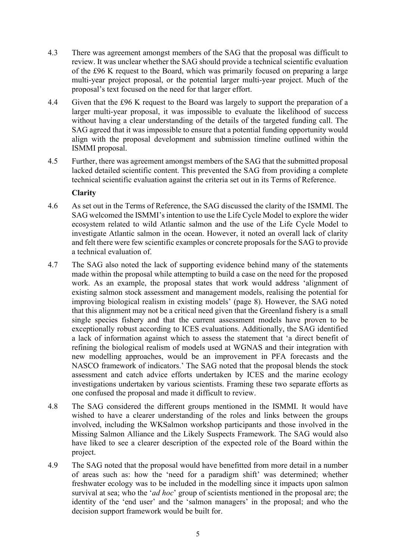- 4.3 There was agreement amongst members of the SAG that the proposal was difficult to review. It was unclear whether the SAG should provide a technical scientific evaluation of the £96 K request to the Board, which was primarily focused on preparing a large multi-year project proposal, or the potential larger multi-year project. Much of the proposal's text focused on the need for that larger effort.
- 4.4 Given that the £96 K request to the Board was largely to support the preparation of a larger multi-year proposal, it was impossible to evaluate the likelihood of success without having a clear understanding of the details of the targeted funding call. The SAG agreed that it was impossible to ensure that a potential funding opportunity would align with the proposal development and submission timeline outlined within the ISMMI proposal.
- 4.5 Further, there was agreement amongst members of the SAG that the submitted proposal lacked detailed scientific content. This prevented the SAG from providing a complete technical scientific evaluation against the criteria set out in its Terms of Reference.

#### **Clarity**

- 4.6 As set out in the Terms of Reference, the SAG discussed the clarity of the ISMMI. The SAG welcomed the ISMMI's intention to use the Life Cycle Model to explore the wider ecosystem related to wild Atlantic salmon and the use of the Life Cycle Model to investigate Atlantic salmon in the ocean. However, it noted an overall lack of clarity and felt there were few scientific examples or concrete proposals for the SAG to provide a technical evaluation of.
- 4.7 The SAG also noted the lack of supporting evidence behind many of the statements made within the proposal while attempting to build a case on the need for the proposed work. As an example, the proposal states that work would address 'alignment of existing salmon stock assessment and management models, realising the potential for improving biological realism in existing models' (page 8). However, the SAG noted that this alignment may not be a critical need given that the Greenland fishery is a small single species fishery and that the current assessment models have proven to be exceptionally robust according to ICES evaluations. Additionally, the SAG identified a lack of information against which to assess the statement that 'a direct benefit of refining the biological realism of models used at WGNAS and their integration with new modelling approaches, would be an improvement in PFA forecasts and the NASCO framework of indicators.' The SAG noted that the proposal blends the stock assessment and catch advice efforts undertaken by ICES and the marine ecology investigations undertaken by various scientists. Framing these two separate efforts as one confused the proposal and made it difficult to review.
- 4.8 The SAG considered the different groups mentioned in the ISMMI. It would have wished to have a clearer understanding of the roles and links between the groups involved, including the WKSalmon workshop participants and those involved in the Missing Salmon Alliance and the Likely Suspects Framework. The SAG would also have liked to see a clearer description of the expected role of the Board within the project.
- 4.9 The SAG noted that the proposal would have benefitted from more detail in a number of areas such as: how the 'need for a paradigm shift' was determined; whether freshwater ecology was to be included in the modelling since it impacts upon salmon survival at sea; who the '*ad hoc*' group of scientists mentioned in the proposal are; the identity of the 'end user' and the 'salmon managers' in the proposal; and who the decision support framework would be built for.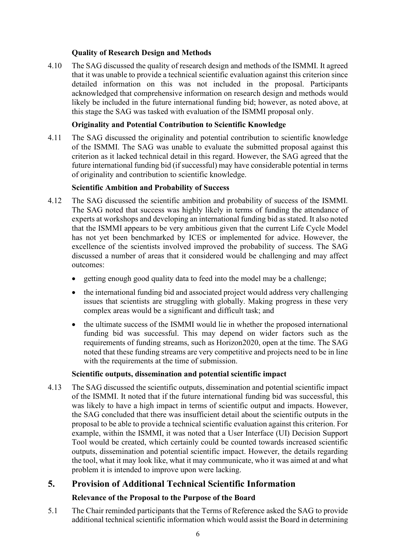### **Quality of Research Design and Methods**

4.10 The SAG discussed the quality of research design and methods of the ISMMI. It agreed that it was unable to provide a technical scientific evaluation against this criterion since detailed information on this was not included in the proposal. Participants acknowledged that comprehensive information on research design and methods would likely be included in the future international funding bid; however, as noted above, at this stage the SAG was tasked with evaluation of the ISMMI proposal only.

#### **Originality and Potential Contribution to Scientific Knowledge**

4.11 The SAG discussed the originality and potential contribution to scientific knowledge of the ISMMI. The SAG was unable to evaluate the submitted proposal against this criterion as it lacked technical detail in this regard. However, the SAG agreed that the future international funding bid (if successful) may have considerable potential in terms of originality and contribution to scientific knowledge.

#### **Scientific Ambition and Probability of Success**

- 4.12 The SAG discussed the scientific ambition and probability of success of the ISMMI. The SAG noted that success was highly likely in terms of funding the attendance of experts at workshops and developing an international funding bid as stated. It also noted that the ISMMI appears to be very ambitious given that the current Life Cycle Model has not yet been benchmarked by ICES or implemented for advice. However, the excellence of the scientists involved improved the probability of success. The SAG discussed a number of areas that it considered would be challenging and may affect outcomes:
	- getting enough good quality data to feed into the model may be a challenge;
	- the international funding bid and associated project would address very challenging issues that scientists are struggling with globally. Making progress in these very complex areas would be a significant and difficult task; and
	- the ultimate success of the ISMMI would lie in whether the proposed international funding bid was successful. This may depend on wider factors such as the requirements of funding streams, such as Horizon2020, open at the time. The SAG noted that these funding streams are very competitive and projects need to be in line with the requirements at the time of submission.

#### **Scientific outputs, dissemination and potential scientific impact**

4.13 The SAG discussed the scientific outputs, dissemination and potential scientific impact of the ISMMI. It noted that if the future international funding bid was successful, this was likely to have a high impact in terms of scientific output and impacts. However, the SAG concluded that there was insufficient detail about the scientific outputs in the proposal to be able to provide a technical scientific evaluation against this criterion. For example, within the ISMMI, it was noted that a User Interface (UI) Decision Support Tool would be created, which certainly could be counted towards increased scientific outputs, dissemination and potential scientific impact. However, the details regarding the tool, what it may look like, what it may communicate, who it was aimed at and what problem it is intended to improve upon were lacking.

# **5. Provision of Additional Technical Scientific Information**

### **Relevance of the Proposal to the Purpose of the Board**

5.1 The Chair reminded participants that the Terms of Reference asked the SAG to provide additional technical scientific information which would assist the Board in determining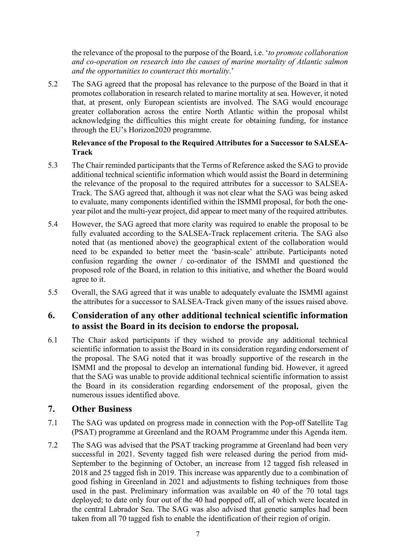the relevance of the proposal to the purpose of the Board, i.e. '*to promote collaboration and co-operation on research into the causes of marine mortality of Atlantic salmon and the opportunities to counteract this mortality*.'

5.2 The SAG agreed that the proposal has relevance to the purpose of the Board in that it promotes collaboration in research related to marine mortality at sea. However, it noted that, at present, only European scientists are involved. The SAG would encourage greater collaboration across the entire North Atlantic within the proposal whilst acknowledging the difficulties this might create for obtaining funding, for instance through the EU's Horizon2020 programme.

### **Relevance of the Proposal to the Required Attributes for a Successor to SALSEA-Track**

- 5.3 The Chair reminded participants that the Terms of Reference asked the SAG to provide additional technical scientific information which would assist the Board in determining the relevance of the proposal to the required attributes for a successor to SALSEA-Track. The SAG agreed that, although it was not clear what the SAG was being asked to evaluate, many components identified within the ISMMI proposal, for both the oneyear pilot and the multi-year project, did appear to meet many of the required attributes.
- 5.4 However, the SAG agreed that more clarity was required to enable the proposal to be fully evaluated according to the SALSEA-Track replacement criteria. The SAG also noted that (as mentioned above) the geographical extent of the collaboration would need to be expanded to better meet the 'basin-scale' attribute. Participants noted confusion regarding the owner / co-ordinator of the ISMMI and questioned the proposed role of the Board, in relation to this initiative, and whether the Board would agree to it.
- 5.5 Overall, the SAG agreed that it was unable to adequately evaluate the ISMMI against the attributes for a successor to SALSEA-Track given many of the issues raised above.

### **6. Consideration of any other additional technical scientific information to assist the Board in its decision to endorse the proposal.**

6.1 The Chair asked participants if they wished to provide any additional technical scientific information to assist the Board in its consideration regarding endorsement of the proposal. The SAG noted that it was broadly supportive of the research in the ISMMI and the proposal to develop an international funding bid. However, it agreed that the SAG was unable to provide additional technical scientific information to assist the Board in its consideration regarding endorsement of the proposal, given the numerous issues identified above.

### **7. Other Business**

- 7.1 The SAG was updated on progress made in connection with the Pop-off Satellite Tag (PSAT) programme at Greenland and the ROAM Programme under this Agenda item.
- 7.2 The SAG was advised that the PSAT tracking programme at Greenland had been very successful in 2021. Seventy tagged fish were released during the period from mid-September to the beginning of October, an increase from 12 tagged fish released in 2018 and 25 tagged fish in 2019. This increase was apparently due to a combination of good fishing in Greenland in 2021 and adjustments to fishing techniques from those used in the past. Preliminary information was available on 40 of the 70 total tags deployed; to date only four out of the 40 had popped off, all of which were located in the central Labrador Sea. The SAG was also advised that genetic samples had been taken from all 70 tagged fish to enable the identification of their region of origin.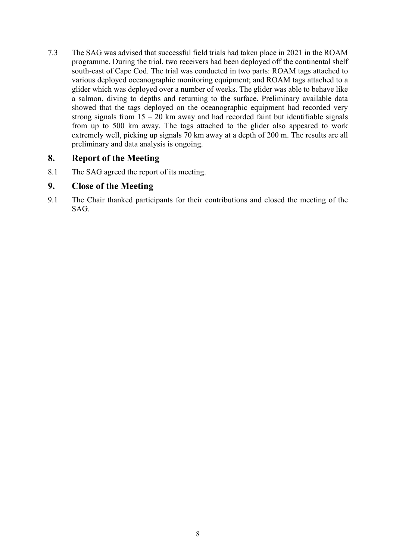7.3 The SAG was advised that successful field trials had taken place in 2021 in the ROAM programme. During the trial, two receivers had been deployed off the continental shelf south-east of Cape Cod. The trial was conducted in two parts: ROAM tags attached to various deployed oceanographic monitoring equipment; and ROAM tags attached to a glider which was deployed over a number of weeks. The glider was able to behave like a salmon, diving to depths and returning to the surface. Preliminary available data showed that the tags deployed on the oceanographic equipment had recorded very strong signals from  $15 - 20$  km away and had recorded faint but identifiable signals from up to 500 km away. The tags attached to the glider also appeared to work extremely well, picking up signals 70 km away at a depth of 200 m. The results are all preliminary and data analysis is ongoing.

### **8. Report of the Meeting**

8.1 The SAG agreed the report of its meeting.

### **9. Close of the Meeting**

9.1 The Chair thanked participants for their contributions and closed the meeting of the SAG.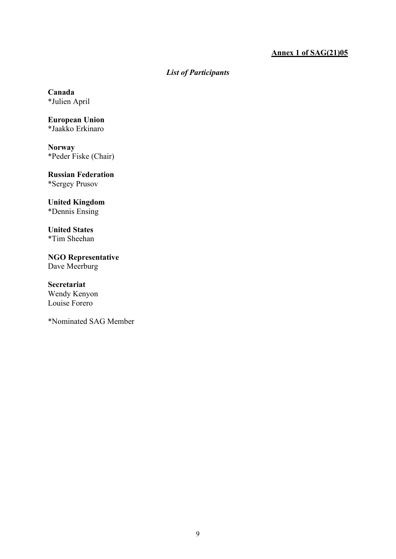### **Annex 1 of SAG(21)05**

### *List of Participants*

**Canada** \*Julien April

**European Union** \*Jaakko Erkinaro

**Norway** \*Peder Fiske (Chair)

**Russian Federation** \*Sergey Prusov

### **United Kingdom**

\*Dennis Ensing

**United States** \*Tim Sheehan

**NGO Representative** Dave Meerburg

#### **Secretariat**

Wendy Kenyon Louise Forero

\*Nominated SAG Member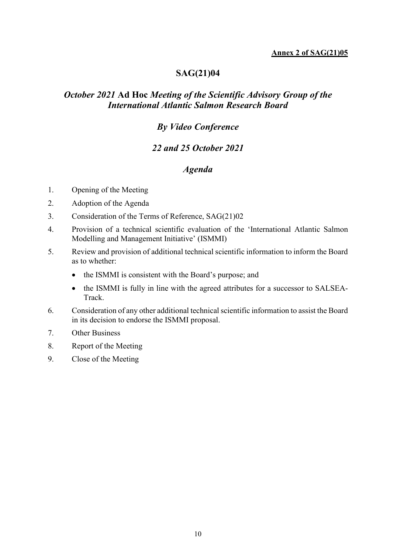#### **Annex 2 of SAG(21)05**

# **SAG(21)04**

### *October 2021* **Ad Hoc** *Meeting of the Scientific Advisory Group of the International Atlantic Salmon Research Board*

### *By Video Conference*

### *22 and 25 October 2021*

### *Agenda*

- 1. Opening of the Meeting
- 2. Adoption of the Agenda
- 3. Consideration of the Terms of Reference, SAG(21)02
- 4. Provision of a technical scientific evaluation of the 'International Atlantic Salmon Modelling and Management Initiative' (ISMMI)
- 5. Review and provision of additional technical scientific information to inform the Board as to whether:
	- the ISMMI is consistent with the Board's purpose; and
	- the ISMMI is fully in line with the agreed attributes for a successor to SALSEA-Track.
- 6. Consideration of any other additional technical scientific information to assist the Board in its decision to endorse the ISMMI proposal.
- 7. Other Business
- 8. Report of the Meeting
- 9. Close of the Meeting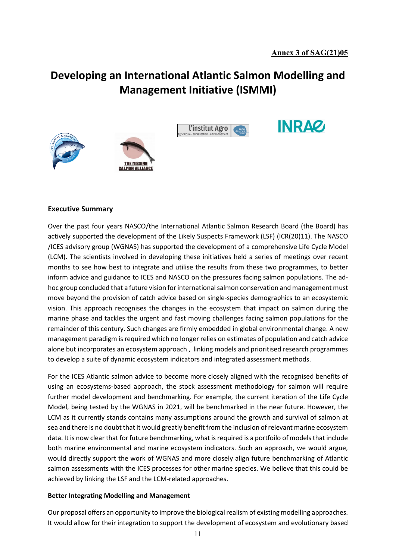**INRAZ** 

# **Developing an International Atlantic Salmon Modelling and Management Initiative (ISMMI)**







#### **Executive Summary**

Over the past four years NASCO/the International Atlantic Salmon Research Board (the Board) has actively supported the development of the Likely Suspects Framework (LSF) (ICR(20)11). The NASCO /ICES advisory group (WGNAS) has supported the development of a comprehensive Life Cycle Model (LCM). The scientists involved in developing these initiatives held a series of meetings over recent months to see how best to integrate and utilise the results from these two programmes, to better inform advice and guidance to ICES and NASCO on the pressures facing salmon populations. The adhoc group concluded that a future vision for international salmon conservation and management must move beyond the provision of catch advice based on single-species demographics to an ecosystemic vision. This approach recognises the changes in the ecosystem that impact on salmon during the marine phase and tackles the urgent and fast moving challenges facing salmon populations for the remainder of this century. Such changes are firmly embedded in global environmental change. A new management paradigm is required which no longer relies on estimates of population and catch advice alone but incorporates an ecosystem approach , linking models and prioritised research programmes to develop a suite of dynamic ecosystem indicators and integrated assessment methods.

For the ICES Atlantic salmon advice to become more closely aligned with the recognised benefits of using an ecosystems-based approach, the stock assessment methodology for salmon will require further model development and benchmarking. For example, the current iteration of the Life Cycle Model, being tested by the WGNAS in 2021, will be benchmarked in the near future. However, the LCM as it currently stands contains many assumptions around the growth and survival of salmon at sea and there is no doubt that it would greatly benefit from the inclusion of relevant marine ecosystem data. It is now clear that for future benchmarking, what is required is a portfoilo of models that include both marine environmental and marine ecosystem indicators. Such an approach, we would argue, would directly support the work of WGNAS and more closely align future benchmarking of Atlantic salmon assessments with the ICES processes for other marine species. We believe that this could be achieved by linking the LSF and the LCM-related approaches.

#### **Better Integrating Modelling and Management**

Our proposal offers an opportunity to improve the biological realism of existing modelling approaches. It would allow for their integration to support the development of ecosystem and evolutionary based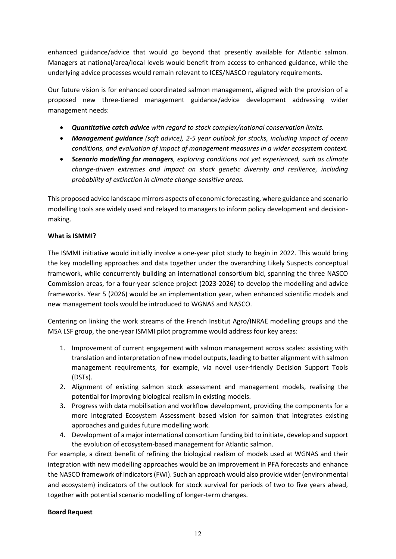enhanced guidance/advice that would go beyond that presently available for Atlantic salmon. Managers at national/area/local levels would benefit from access to enhanced guidance, while the underlying advice processes would remain relevant to ICES/NASCO regulatory requirements.

Our future vision is for enhanced coordinated salmon management, aligned with the provision of a proposed new three-tiered management guidance/advice development addressing wider management needs:

- *Quantitative catch advice with regard to stock complex/national conservation limits.*
- *Management guidance (soft advice), 2-5 year outlook for stocks, including impact of ocean conditions, and evaluation of impact of management measures in a wider ecosystem context.*
- *Scenario modelling for managers, exploring conditions not yet experienced, such as climate change-driven extremes and impact on stock genetic diversity and resilience, including probability of extinction in climate change-sensitive areas.*

This proposed advice landscape mirrors aspects of economic forecasting, where guidance and scenario modelling tools are widely used and relayed to managers to inform policy development and decisionmaking.

#### **What is ISMMI?**

The ISMMI initiative would initially involve a one-year pilot study to begin in 2022. This would bring the key modelling approaches and data together under the overarching Likely Suspects conceptual framework, while concurrently building an international consortium bid, spanning the three NASCO Commission areas, for a four-year science project (2023-2026) to develop the modelling and advice frameworks. Year 5 (2026) would be an implementation year, when enhanced scientific models and new management tools would be introduced to WGNAS and NASCO.

Centering on linking the work streams of the French Institut Agro/INRAE modelling groups and the MSA LSF group, the one-year ISMMI pilot programme would address four key areas:

- 1. Improvement of current engagement with salmon management across scales: assisting with translation and interpretation of new model outputs, leading to better alignment with salmon management requirements, for example, via novel user-friendly Decision Support Tools (DSTs).
- 2. Alignment of existing salmon stock assessment and management models, realising the potential for improving biological realism in existing models.
- 3. Progress with data mobilisation and workflow development, providing the components for a more Integrated Ecosystem Assessment based vision for salmon that integrates existing approaches and guides future modelling work.
- 4. Development of a major international consortium funding bid to initiate, develop and support the evolution of ecosystem-based management for Atlantic salmon.

For example, a direct benefit of refining the biological realism of models used at WGNAS and their integration with new modelling approaches would be an improvement in PFA forecasts and enhance the NASCO framework of indicators (FWI). Such an approach would also provide wider (environmental and ecosystem) indicators of the outlook for stock survival for periods of two to five years ahead, together with potential scenario modelling of longer-term changes.

#### **Board Request**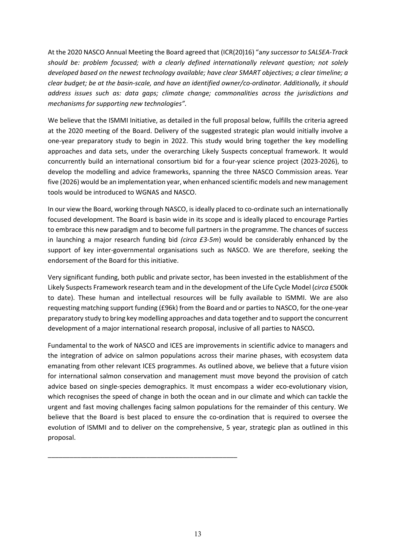At the 2020 NASCO Annual Meeting the Board agreed that (ICR(20)16) "a*ny successor to SALSEA-Track should be: problem focussed; with a clearly defined internationally relevant question; not solely developed based on the newest technology available; have clear SMART objectives; a clear timeline; a clear budget; be at the basin-scale, and have an identified owner/co-ordinator. Additionally, it should address issues such as: data gaps; climate change; commonalities across the jurisdictions and mechanisms for supporting new technologies".*

We believe that the ISMMI Initiative, as detailed in the full proposal below, fulfills the criteria agreed at the 2020 meeting of the Board. Delivery of the suggested strategic plan would initially involve a one-year preparatory study to begin in 2022. This study would bring together the key modelling approaches and data sets, under the overarching Likely Suspects conceptual framework. It would concurrently build an international consortium bid for a four-year science project (2023-2026), to develop the modelling and advice frameworks, spanning the three NASCO Commission areas. Year five (2026) would be an implementation year, when enhanced scientific models and new management tools would be introduced to WGNAS and NASCO.

In our view the Board, working through NASCO, is ideally placed to co-ordinate such an internationally focused development. The Board is basin wide in its scope and is ideally placed to encourage Parties to embrace this new paradigm and to become full partners in the programme. The chances of success in launching a major research funding bid *(circa £3-5m*) would be considerably enhanced by the support of key inter-governmental organisations such as NASCO. We are therefore, seeking the endorsement of the Board for this initiative.

Very significant funding, both public and private sector, has been invested in the establishment of the Likely Suspects Framework research team and in the development of the Life Cycle Model (*circa* £500k to date). These human and intellectual resources will be fully available to ISMMI. We are also requesting matching support funding (£96k) from the Board and or parties to NASCO, for the one-year preparatory study to bring key modelling approaches and data together and to support the concurrent development of a major international research proposal, inclusive of all parties to NASCO*.*

Fundamental to the work of NASCO and ICES are improvements in scientific advice to managers and the integration of advice on salmon populations across their marine phases, with ecosystem data emanating from other relevant ICES programmes. As outlined above, we believe that a future vision for international salmon conservation and management must move beyond the provision of catch advice based on single-species demographics. It must encompass a wider eco-evolutionary vision, which recognises the speed of change in both the ocean and in our climate and which can tackle the urgent and fast moving challenges facing salmon populations for the remainder of this century. We believe that the Board is best placed to ensure the co-ordination that is required to oversee the evolution of ISMMI and to deliver on the comprehensive, 5 year, strategic plan as outlined in this proposal.

\_\_\_\_\_\_\_\_\_\_\_\_\_\_\_\_\_\_\_\_\_\_\_\_\_\_\_\_\_\_\_\_\_\_\_\_\_\_\_\_\_\_\_\_\_\_\_\_\_\_\_\_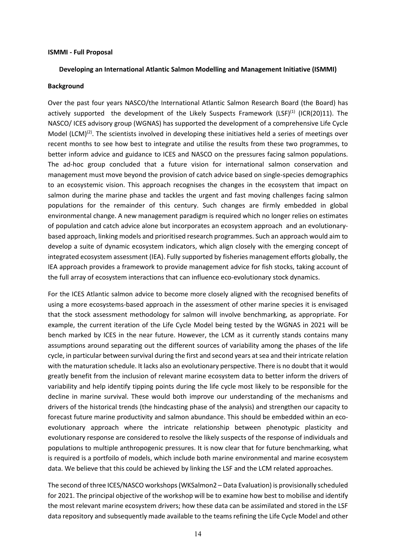#### **ISMMI - Full Proposal**

#### **Developing an International Atlantic Salmon Modelling and Management Initiative (ISMMI)**

#### **Background**

Over the past four years NASCO/the International Atlantic Salmon Research Board (the Board) has actively supported the development of the Likely Suspects Framework (LSF)<sup>(1)</sup> (ICR(20)11). The NASCO/ ICES advisory group (WGNAS) has supported the development of a comprehensive Life Cycle Model (LCM)<sup>(2)</sup>. The scientists involved in developing these initiatives held a series of meetings over recent months to see how best to integrate and utilise the results from these two programmes, to better inform advice and guidance to ICES and NASCO on the pressures facing salmon populations. The ad-hoc group concluded that a future vision for international salmon conservation and management must move beyond the provision of catch advice based on single-species demographics to an ecosystemic vision. This approach recognises the changes in the ecosystem that impact on salmon during the marine phase and tackles the urgent and fast moving challenges facing salmon populations for the remainder of this century. Such changes are firmly embedded in global environmental change. A new management paradigm is required which no longer relies on estimates of population and catch advice alone but incorporates an ecosystem approach and an evolutionarybased approach, linking models and prioritised research programmes. Such an approach would aim to develop a suite of dynamic ecosystem indicators, which align closely with the emerging concept of integrated ecosystem assessment (IEA). Fully supported by fisheries management efforts globally, the IEA approach provides a framework to provide management advice for fish stocks, taking account of the full array of ecosystem interactions that can influence eco-evolutionary stock dynamics.

For the ICES Atlantic salmon advice to become more closely aligned with the recognised benefits of using a more ecosystems-based approach in the assessment of other marine species it is envisaged that the stock assessment methodology for salmon will involve benchmarking, as appropriate. For example, the current iteration of the Life Cycle Model being tested by the WGNAS in 2021 will be bench marked by ICES in the near future. However, the LCM as it currently stands contains many assumptions around separating out the different sources of variability among the phases of the life cycle, in particular between survival during the first and second years at sea and their intricate relation with the maturation schedule. It lacks also an evolutionary perspective. There is no doubt that it would greatly benefit from the inclusion of relevant marine ecosystem data to better inform the drivers of variability and help identify tipping points during the life cycle most likely to be responsible for the decline in marine survival. These would both improve our understanding of the mechanisms and drivers of the historical trends (the hindcasting phase of the analysis) and strengthen our capacity to forecast future marine productivity and salmon abundance. This should be embedded within an ecoevolutionary approach where the intricate relationship between phenotypic plasticity and evolutionary response are considered to resolve the likely suspects of the response of individuals and populations to multiple anthropogenic pressures. It is now clear that for future benchmarking, what is required is a portfoilo of models, which include both marine environmental and marine ecosystem data. We believe that this could be achieved by linking the LSF and the LCM related approaches.

The second of three ICES/NASCO workshops (WKSalmon2 – Data Evaluation) is provisionally scheduled for 2021. The principal objective of the workshop will be to examine how best to mobilise and identify the most relevant marine ecosystem drivers; how these data can be assimilated and stored in the LSF data repository and subsequently made available to the teams refining the Life Cycle Model and other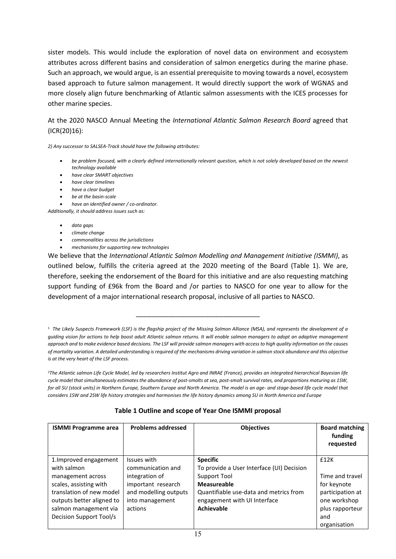sister models. This would include the exploration of novel data on environment and ecosystem attributes across different basins and consideration of salmon energetics during the marine phase. Such an approach, we would argue, is an essential prerequisite to moving towards a novel, ecosystem based approach to future salmon management. It would directly support the work of WGNAS and more closely align future benchmarking of Atlantic salmon assessments with the ICES processes for other marine species.

#### At the 2020 NASCO Annual Meeting the *International Atlantic Salmon Research Board* agreed that (ICR(20)16):

*2) Any successor to SALSEA-Track should have the following attributes:*

- *be problem focused, with a clearly defined internationally relevant question, which is not solely developed based on the newest technology available*
- *have clear SMART objectives*
- *have clear timelines*
- *have a clear budget*
- *be at the basin-scale*
- *have an identified owner / co-ordinator.*

*Additionally, it should address issues such as:* 

- *data gaps*
- *climate change*
- *commonalities across the jurisdictions*
- *mechanisms for supporting new technologies*

We believe that the *International Atlantic Salmon Modelling and Management Initiative (ISMMI)*, as outlined below, fulfills the criteria agreed at the 2020 meeting of the Board (Table 1). We are, therefore, seeking the endorsement of the Board for this initiative and are also requesting matching support funding of £96k from the Board and /or parties to NASCO for one year to allow for the development of a major international research proposal, inclusive of all parties to NASCO.

\_\_\_\_\_\_\_\_\_\_\_\_\_\_\_\_\_\_\_\_\_\_\_\_\_\_\_\_\_\_\_\_\_\_

*2The Atlantic salmon Life Cycle Model, led by researchers Institut Agro and INRAE (France), provides an integrated hierarchical Bayesian life cycle model that simultaneously estimates the abundance of post-smolts at sea, post-smolt survival rates, and proportions maturing as 1SW, for all SU (stock units) in Northern Europe, Southern Europe and North America. The model is an age- and stage-based life cycle model that considers 1SW and 2SW life history strategies and harmonises the life history dynamics among SU in North America and Europe*

|                                                      | والمتحدث والملاحي والمتحا والمتمارض وأرار والمتحدث والمد | A1:1.11:1.11:1.1 |
|------------------------------------------------------|----------------------------------------------------------|------------------|
| Table 1 Outline and scope of Year One ISMMI proposal |                                                          |                  |

| <b>ISMMI Programme area</b> | <b>Problems addressed</b> | <b>Objectives</b>                         | <b>Board matching</b><br>funding<br>requested |
|-----------------------------|---------------------------|-------------------------------------------|-----------------------------------------------|
| 1. Improved engagement      | Issues with               | <b>Specific</b>                           | £12K                                          |
| with salmon                 | communication and         | To provide a User Interface (UI) Decision |                                               |
| management across           | integration of            | Support Tool                              | Time and travel                               |
| scales, assisting with      | important research        | <b>Measureable</b>                        | for keynote                                   |
| translation of new model    | and modelling outputs     | Quantifiable use-data and metrics from    | participation at                              |
| outputs better aligned to   | into management           | engagement with UI Interface              | one workshop                                  |
| salmon management via       | actions                   | <b>Achievable</b>                         | plus rapporteur                               |
| Decision Support Tool/s     |                           |                                           | and                                           |
|                             |                           |                                           | organisation                                  |

<sup>1</sup> *The Likely Suspects Framework (LSF) is the flagship project of the Missing Salmon Alliance (MSA), and represents the development of a guiding vision for actions to help boost adult Atlantic salmon returns. It will enable salmon managers to adopt an adaptive management approach and to make evidence based decisions. The LSF will provide salmon managers with access to high quality information on the causes of mortality variation. A detailed understanding is required of the mechanisms driving variation in salmon stock abundance and this objective is at the very heart of the LSF process.*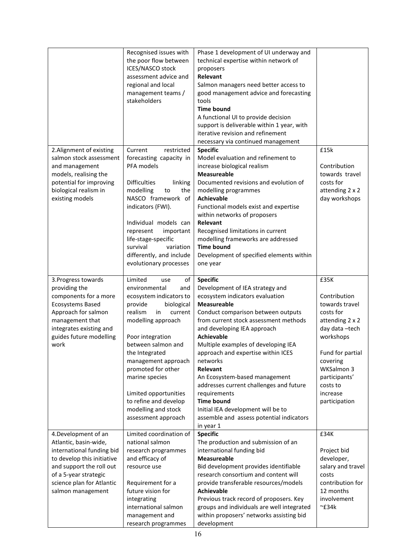|                            | Recognised issues with         | Phase 1 development of UI underway and     |                    |
|----------------------------|--------------------------------|--------------------------------------------|--------------------|
|                            | the poor flow between          | technical expertise within network of      |                    |
|                            | ICES/NASCO stock               | proposers                                  |                    |
|                            | assessment advice and          | Relevant                                   |                    |
|                            | regional and local             | Salmon managers need better access to      |                    |
|                            | management teams /             | good management advice and forecasting     |                    |
|                            | stakeholders                   | tools                                      |                    |
|                            |                                | <b>Time bound</b>                          |                    |
|                            |                                | A functional UI to provide decision        |                    |
|                            |                                | support is deliverable within 1 year, with |                    |
|                            |                                | iterative revision and refinement          |                    |
|                            |                                |                                            |                    |
|                            |                                | necessary via continued management         |                    |
| 2. Alignment of existing   | Current<br>restricted          | <b>Specific</b>                            | £15k               |
| salmon stock assessment    | forecasting capacity in        | Model evaluation and refinement to         |                    |
| and management             | PFA models                     | increase biological realism                | Contribution       |
| models, realising the      |                                | <b>Measureable</b>                         | towards travel     |
| potential for improving    | <b>Difficulties</b><br>linking | Documented revisions and evolution of      | costs for          |
| biological realism in      | the<br>modelling<br>to         | modelling programmes                       | attending 2 x 2    |
| existing models            | NASCO framework of             | <b>Achievable</b>                          | day workshops      |
|                            | indicators (FWI).              | Functional models exist and expertise      |                    |
|                            |                                | within networks of proposers               |                    |
|                            | Individual models can          | Relevant                                   |                    |
|                            | represent<br>important         | Recognised limitations in current          |                    |
|                            | life-stage-specific            | modelling frameworks are addressed         |                    |
|                            | survival<br>variation          | <b>Time bound</b>                          |                    |
|                            | differently, and include       | Development of specified elements within   |                    |
|                            | evolutionary processes         | one year                                   |                    |
|                            |                                |                                            |                    |
| 3. Progress towards        | Limited<br>of<br>use           | <b>Specific</b>                            | £35K               |
| providing the              | environmental<br>and           | Development of IEA strategy and            |                    |
| components for a more      | ecosystem indicators to        | ecosystem indicators evaluation            | Contribution       |
| <b>Ecosystems Based</b>    | provide<br>biological          | <b>Measureable</b>                         | towards travel     |
| Approach for salmon        | realism<br>in<br>current       | Conduct comparison between outputs         | costs for          |
| management that            | modelling approach             | from current stock assessment methods      | attending 2 x 2    |
| integrates existing and    |                                | and developing IEA approach                | day data-tech      |
| guides future modelling    | Poor integration               | <b>Achievable</b>                          | workshops          |
|                            |                                | Multiple examples of developing IEA        |                    |
| work                       | between salmon and             |                                            |                    |
|                            | the Integrated                 | approach and expertise within ICES         | Fund for partial   |
|                            | management approach            | networks                                   | covering           |
|                            | promoted for other             | Relevant                                   | WKSalmon 3         |
|                            | marine species                 | An Ecosystem-based management              | participants'      |
|                            |                                | addresses current challenges and future    | costs to           |
|                            | Limited opportunities          | requirements                               | increase           |
|                            | to refine and develop          | <b>Time bound</b>                          | participation      |
|                            | modelling and stock            | Initial IEA development will be to         |                    |
|                            | assessment approach            | assemble and assess potential indicators   |                    |
|                            |                                | in year 1                                  |                    |
| 4. Development of an       | Limited coordination of        | <b>Specific</b>                            | £34K               |
| Atlantic, basin-wide,      | national salmon                | The production and submission of an        |                    |
| international funding bid  | research programmes            | international funding bid                  | Project bid        |
| to develop this initiative | and efficacy of                | <b>Measureable</b>                         | developer,         |
| and support the roll out   | resource use                   | Bid development provides identifiable      | salary and travel  |
| of a 5-year strategic      |                                | research consortium and content will       | costs              |
| science plan for Atlantic  | Requirement for a              | provide transferable resources/models      | contribution for   |
| salmon management          | future vision for              | <b>Achievable</b>                          | 12 months          |
|                            | integrating                    | Previous track record of proposers. Key    | involvement        |
|                            | international salmon           | groups and individuals are well integrated | $~^{\sim}$ £34 $k$ |
|                            | management and                 | within proposers' networks assisting bid   |                    |
|                            | research programmes            | development                                |                    |
|                            |                                |                                            |                    |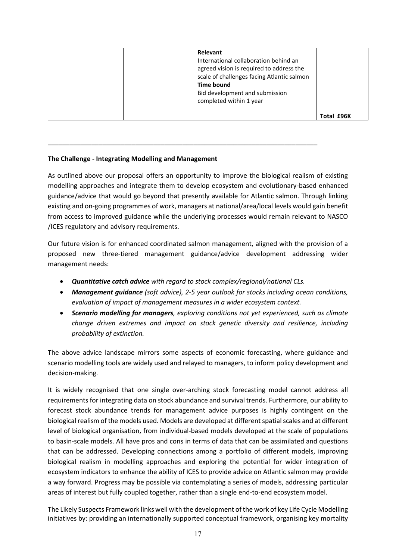| Relevant<br>International collaboration behind an<br>agreed vision is required to address the<br>scale of challenges facing Atlantic salmon<br><b>Time bound</b><br>Bid development and submission<br>completed within 1 year |            |
|-------------------------------------------------------------------------------------------------------------------------------------------------------------------------------------------------------------------------------|------------|
|                                                                                                                                                                                                                               | Total £96K |

#### **The Challenge - Integrating Modelling and Management**

As outlined above our proposal offers an opportunity to improve the biological realism of existing modelling approaches and integrate them to develop ecosystem and evolutionary-based enhanced guidance/advice that would go beyond that presently available for Atlantic salmon. Through linking existing and on-going programmes of work, managers at national/area/local levels would gain benefit from access to improved guidance while the underlying processes would remain relevant to NASCO /ICES regulatory and advisory requirements.

\_\_\_\_\_\_\_\_\_\_\_\_\_\_\_\_\_\_\_\_\_\_\_\_\_\_\_\_\_\_\_\_\_\_\_\_\_\_\_\_\_\_\_\_\_\_\_\_\_\_\_\_\_\_\_\_\_\_\_\_\_\_\_\_\_\_\_\_\_\_\_\_\_\_

Our future vision is for enhanced coordinated salmon management, aligned with the provision of a proposed new three-tiered management guidance/advice development addressing wider management needs:

- *Quantitative catch advice with regard to stock complex/regional/national CLs.*
- *Management guidance (soft advice), 2-5 year outlook for stocks including ocean conditions, evaluation of impact of management measures in a wider ecosystem context.*
- *Scenario modelling for managers, exploring conditions not yet experienced, such as climate change driven extremes and impact on stock genetic diversity and resilience, including probability of extinction.*

The above advice landscape mirrors some aspects of economic forecasting, where guidance and scenario modelling tools are widely used and relayed to managers, to inform policy development and decision-making.

It is widely recognised that one single over-arching stock forecasting model cannot address all requirements for integrating data on stock abundance and survival trends. Furthermore, our ability to forecast stock abundance trends for management advice purposes is highly contingent on the biological realism of the models used. Models are developed at different spatial scales and at different level of biological organisation, from individual-based models developed at the scale of populations to basin-scale models. All have pros and cons in terms of data that can be assimilated and questions that can be addressed. Developing connections among a portfolio of different models, improving biological realism in modelling approaches and exploring the potential for wider integration of ecosystem indicators to enhance the ability of ICES to provide advice on Atlantic salmon may provide a way forward. Progress may be possible via contemplating a series of models, addressing particular areas of interest but fully coupled together, rather than a single end-to-end ecosystem model.

The Likely Suspects Framework links well with the development of the work of key Life Cycle Modelling initiatives by: providing an internationally supported conceptual framework, organising key mortality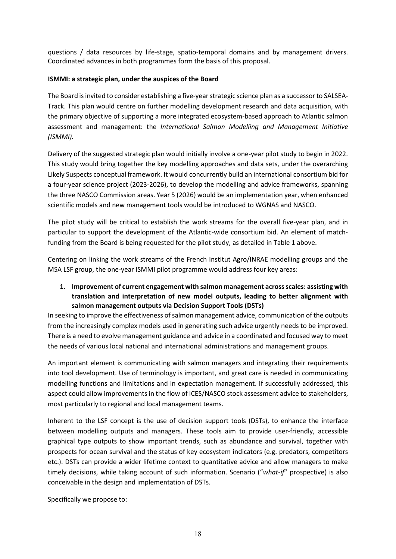questions / data resources by life-stage, spatio-temporal domains and by management drivers. Coordinated advances in both programmes form the basis of this proposal.

#### **ISMMI: a strategic plan, under the auspices of the Board**

The Board is invited to consider establishing a five-year strategic science plan as a successor to SALSEA-Track. This plan would centre on further modelling development research and data acquisition, with the primary objective of supporting a more integrated ecosystem-based approach to Atlantic salmon assessment and management: the *International Salmon Modelling and Management Initiative (ISMMI).*

Delivery of the suggested strategic plan would initially involve a one-year pilot study to begin in 2022. This study would bring together the key modelling approaches and data sets, under the overarching Likely Suspects conceptual framework. It would concurrently build an international consortium bid for a four-year science project (2023-2026), to develop the modelling and advice frameworks, spanning the three NASCO Commission areas. Year 5 (2026) would be an implementation year, when enhanced scientific models and new management tools would be introduced to WGNAS and NASCO.

The pilot study will be critical to establish the work streams for the overall five-year plan, and in particular to support the development of the Atlantic-wide consortium bid. An element of matchfunding from the Board is being requested for the pilot study, as detailed in Table 1 above.

Centering on linking the work streams of the French Institut Agro/INRAE modelling groups and the MSA LSF group, the one-year ISMMI pilot programme would address four key areas:

**1. Improvement of current engagement with salmon management across scales: assisting with translation and interpretation of new model outputs, leading to better alignment with salmon management outputs via Decision Support Tools (DSTs)** 

In seeking to improve the effectiveness of salmon management advice, communication of the outputs from the increasingly complex models used in generating such advice urgently needs to be improved. There is a need to evolve management guidance and advice in a coordinated and focused way to meet the needs of various local national and international administrations and management groups.

An important element is communicating with salmon managers and integrating their requirements into tool development. Use of terminology is important, and great care is needed in communicating modelling functions and limitations and in expectation management. If successfully addressed, this aspect could allow improvements in the flow of ICES/NASCO stock assessment advice to stakeholders, most particularly to regional and local management teams.

Inherent to the LSF concept is the use of decision support tools (DSTs), to enhance the interface between modelling outputs and managers. These tools aim to provide user-friendly, accessible graphical type outputs to show important trends, such as abundance and survival, together with prospects for ocean survival and the status of key ecosystem indicators (e.g. predators, competitors etc.). DSTs can provide a wider lifetime context to quantitative advice and allow managers to make timely decisions, while taking account of such information. Scenario ("*what-if*" prospective) is also conceivable in the design and implementation of DSTs.

Specifically we propose to: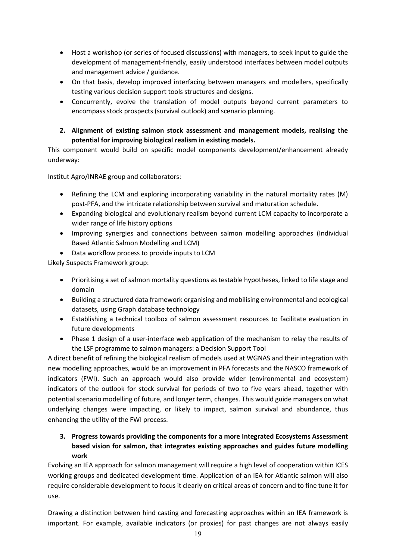- Host a workshop (or series of focused discussions) with managers, to seek input to guide the development of management-friendly, easily understood interfaces between model outputs and management advice / guidance.
- On that basis, develop improved interfacing between managers and modellers, specifically testing various decision support tools structures and designs.
- Concurrently, evolve the translation of model outputs beyond current parameters to encompass stock prospects (survival outlook) and scenario planning.
- **2. Alignment of existing salmon stock assessment and management models, realising the potential for improving biological realism in existing models.**

This component would build on specific model components development/enhancement already underway:

Institut Agro/INRAE group and collaborators:

- Refining the LCM and exploring incorporating variability in the natural mortality rates (M) post-PFA, and the intricate relationship between survival and maturation schedule.
- Expanding biological and evolutionary realism beyond current LCM capacity to incorporate a wider range of life history options
- Improving synergies and connections between salmon modelling approaches (Individual Based Atlantic Salmon Modelling and LCM)
- Data workflow process to provide inputs to LCM

Likely Suspects Framework group:

- Prioritising a set of salmon mortality questions as testable hypotheses, linked to life stage and domain
- Building a structured data framework organising and mobilising environmental and ecological datasets, using Graph database technology
- Establishing a technical toolbox of salmon assessment resources to facilitate evaluation in future developments
- Phase 1 design of a user-interface web application of the mechanism to relay the results of the LSF programme to salmon managers: a Decision Support Tool

A direct benefit of refining the biological realism of models used at WGNAS and their integration with new modelling approaches, would be an improvement in PFA forecasts and the NASCO framework of indicators (FWI). Such an approach would also provide wider (environmental and ecosystem) indicators of the outlook for stock survival for periods of two to five years ahead, together with potential scenario modelling of future, and longer term, changes. This would guide managers on what underlying changes were impacting, or likely to impact, salmon survival and abundance, thus enhancing the utility of the FWI process.

### **3. Progress towards providing the components for a more Integrated Ecosystems Assessment based vision for salmon, that integrates existing approaches and guides future modelling work**

Evolving an IEA approach for salmon management will require a high level of cooperation within ICES working groups and dedicated development time. Application of an IEA for Atlantic salmon will also require considerable development to focus it clearly on critical areas of concern and to fine tune it for use.

Drawing a distinction between hind casting and forecasting approaches within an IEA framework is important. For example, available indicators (or proxies) for past changes are not always easily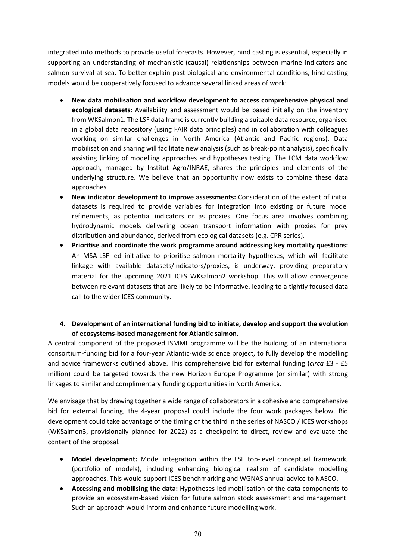integrated into methods to provide useful forecasts. However, hind casting is essential, especially in supporting an understanding of mechanistic (causal) relationships between marine indicators and salmon survival at sea. To better explain past biological and environmental conditions, hind casting models would be cooperatively focused to advance several linked areas of work:

- **New data mobilisation and workflow development to access comprehensive physical and ecological datasets**: Availability and assessment would be based initially on the inventory from WKSalmon1. The LSF data frame is currently building a suitable data resource, organised in a global data repository (using FAIR data principles) and in collaboration with colleagues working on similar challenges in North America (Atlantic and Pacific regions). Data mobilisation and sharing will facilitate new analysis (such as break-point analysis), specifically assisting linking of modelling approaches and hypotheses testing. The LCM data workflow approach, managed by Institut Agro/INRAE, shares the principles and elements of the underlying structure. We believe that an opportunity now exists to combine these data approaches.
- **New indicator development to improve assessments:** Consideration of the extent of initial datasets is required to provide variables for integration into existing or future model refinements, as potential indicators or as proxies. One focus area involves combining hydrodynamic models delivering ocean transport information with proxies for prey distribution and abundance, derived from ecological datasets (e.g. CPR series).
- **Prioritise and coordinate the work programme around addressing key mortality questions:** An MSA-LSF led initiative to prioritise salmon mortality hypotheses, which will facilitate linkage with available datasets/indicators/proxies, is underway, providing preparatory material for the upcoming 2021 ICES WKsalmon2 workshop. This will allow convergence between relevant datasets that are likely to be informative, leading to a tightly focused data call to the wider ICES community.

#### **4. Development of an international funding bid to initiate, develop and support the evolution of ecosystems-based management for Atlantic salmon.**

A central component of the proposed ISMMI programme will be the building of an international consortium-funding bid for a four-year Atlantic-wide science project, to fully develop the modelling and advice frameworks outlined above. This comprehensive bid for external funding (*circa* £3 - £5 million) could be targeted towards the new Horizon Europe Programme (or similar) with strong linkages to similar and complimentary funding opportunities in North America.

We envisage that by drawing together a wide range of collaborators in a cohesive and comprehensive bid for external funding, the 4-year proposal could include the four work packages below. Bid development could take advantage of the timing of the third in the series of NASCO / ICES workshops (WKSalmon3, provisionally planned for 2022) as a checkpoint to direct, review and evaluate the content of the proposal.

- **Model development:** Model integration within the LSF top-level conceptual framework, (portfolio of models), including enhancing biological realism of candidate modelling approaches. This would support ICES benchmarking and WGNAS annual advice to NASCO.
- **Accessing and mobilising the data:** Hypotheses-led mobilisation of the data components to provide an ecosystem-based vision for future salmon stock assessment and management. Such an approach would inform and enhance future modelling work.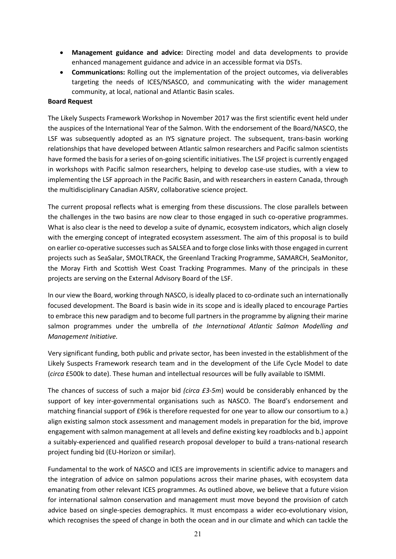- **Management guidance and advice:** Directing model and data developments to provide enhanced management guidance and advice in an accessible format via DSTs.
- **Communications:** Rolling out the implementation of the project outcomes, via deliverables targeting the needs of ICES/NSASCO, and communicating with the wider management community, at local, national and Atlantic Basin scales.

#### **Board Request**

The Likely Suspects Framework Workshop in November 2017 was the first scientific event held under the auspices of the International Year of the Salmon. With the endorsement of the Board/NASCO, the LSF was subsequently adopted as an IYS signature project. The subsequent, trans-basin working relationships that have developed between Atlantic salmon researchers and Pacific salmon scientists have formed the basis for a series of on-going scientific initiatives. The LSF project is currently engaged in workshops with Pacific salmon researchers, helping to develop case-use studies, with a view to implementing the LSF approach in the Pacific Basin, and with researchers in eastern Canada, through the multidisciplinary Canadian AJSRV, collaborative science project.

The current proposal reflects what is emerging from these discussions. The close parallels between the challenges in the two basins are now clear to those engaged in such co-operative programmes. What is also clear is the need to develop a suite of dynamic, ecosystem indicators, which align closely with the emerging concept of integrated ecosystem assessment. The aim of this proposal is to build on earlier co-operative successes such as SALSEA and to forge close links with those engaged in current projects such as SeaSalar, SMOLTRACK, the Greenland Tracking Programme, SAMARCH, SeaMonitor, the Moray Firth and Scottish West Coast Tracking Programmes. Many of the principals in these projects are serving on the External Advisory Board of the LSF.

In our view the Board, working through NASCO, is ideally placed to co-ordinate such an internationally focused development. The Board is basin wide in its scope and is ideally placed to encourage Parties to embrace this new paradigm and to become full partners in the programme by aligning their marine salmon programmes under the umbrella of *the International Atlantic Salmon Modelling and Management Initiative.* 

Very significant funding, both public and private sector, has been invested in the establishment of the Likely Suspects Framework research team and in the development of the Life Cycle Model to date (*circa* £500k to date). These human and intellectual resources will be fully available to ISMMI.

The chances of success of such a major bid *(circa £3-5m*) would be considerably enhanced by the support of key inter-governmental organisations such as NASCO. The Board's endorsement and matching financial support of £96k is therefore requested for one year to allow our consortium to a.) align existing salmon stock assessment and management models in preparation for the bid, improve engagement with salmon management at all levels and define existing key roadblocks and b.) appoint a suitably-experienced and qualified research proposal developer to build a trans-national research project funding bid (EU-Horizon or similar).

Fundamental to the work of NASCO and ICES are improvements in scientific advice to managers and the integration of advice on salmon populations across their marine phases, with ecosystem data emanating from other relevant ICES programmes. As outlined above, we believe that a future vision for international salmon conservation and management must move beyond the provision of catch advice based on single-species demographics. It must encompass a wider eco-evolutionary vision, which recognises the speed of change in both the ocean and in our climate and which can tackle the